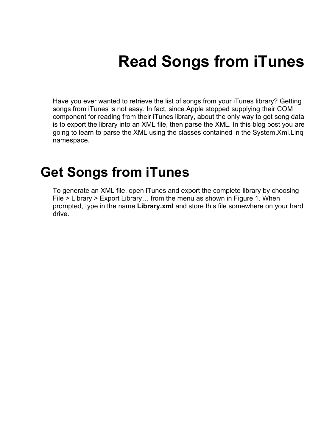# **Read Songs from iTunes**

Have you ever wanted to retrieve the list of songs from your iTunes library? Getting songs from iTunes is not easy. In fact, since Apple stopped supplying their COM component for reading from their iTunes library, about the only way to get song data is to export the library into an XML file, then parse the XML. In this blog post you are going to learn to parse the XML using the classes contained in the System.Xml.Linq namespace.

### **Get Songs from iTunes**

To generate an XML file, open iTunes and export the complete library by choosing File > Library > Export Library… from the menu as shown in [Figure 1.](#page-1-0) When prompted, type in the name **Library.xml** and store this file somewhere on your hard drive.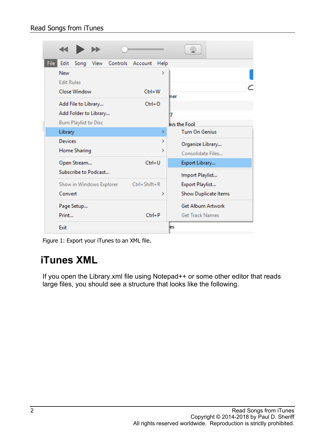|      |                                     |                                              |      |          |                    |        |                                       | ⊚                                                  |  |  |
|------|-------------------------------------|----------------------------------------------|------|----------|--------------------|--------|---------------------------------------|----------------------------------------------------|--|--|
| File | Edit                                | Song                                         | View | Controls | Account            | Help   |                                       |                                                    |  |  |
|      | New<br><b>Edit Rules</b>            | <b>Close Window</b>                          |      |          | ≯<br>Ctrl+W        |        | mer                                   |                                                    |  |  |
|      |                                     | Add File to Library<br>Add Folder to Library |      |          | $Ctrl + O$         |        | 7                                     |                                                    |  |  |
|      |                                     | <b>Burn Playlist to Disc</b>                 |      |          |                    |        |                                       | avs the Fool                                       |  |  |
|      | Library                             |                                              |      |          |                    | X      |                                       | <b>Turn On Genius</b>                              |  |  |
|      | <b>Devices</b>                      | Home Sharing                                 |      |          |                    | ><br>> | Organize Library<br>Consolidate Files |                                                    |  |  |
|      | Open Stream                         |                                              |      |          | $Ctrl + U$         |        |                                       | Export Library                                     |  |  |
|      | Subscribe to Podcast                |                                              |      |          |                    |        |                                       | Import Playlist                                    |  |  |
|      | Show in Windows Explorer<br>Convert |                                              |      |          | $Ctrl + Shift + R$ | >      |                                       | Export Playlist<br>Show Duplicate Items            |  |  |
|      | Page Setup<br>Print                 |                                              |      |          | $Ctrl + P$         |        |                                       | <b>Get Album Artwork</b><br><b>Get Track Names</b> |  |  |
|      | Exit                                |                                              |      |          |                    |        |                                       |                                                    |  |  |

<span id="page-1-0"></span>Figure 1: Export your iTunes to an XML file.

#### **iTunes XML**

If you open the Library.xml file using Notepad++ or some other editor that reads large files, you should see a structure that looks like the following.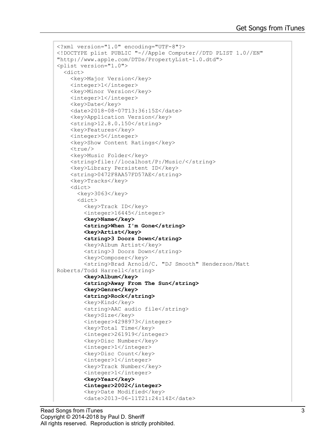```
<?xml version="1.0" encoding="UTF-8"?>
<!DOCTYPE plist PUBLIC "-//Apple Computer//DTD PLIST 1.0//EN" 
"http://www.apple.com/DTDs/PropertyList-1.0.dtd">
<plist version="1.0">
   <dict>
     <key>Major Version</key>
     <integer>1</integer>
     <key>Minor Version</key>
     <integer>1</integer>
     <key>Date</key>
     <date>2018-08-07T13:36:15Z</date>
     <key>Application Version</key>
     <string>12.8.0.150</string>
     <key>Features</key>
     <integer>5</integer>
    <key>Show Content Ratings</key>
    <true/ <key>Music Folder</key>
     <string>file://localhost/P:/Music/</string>
     <key>Library Persistent ID</key>
     <string>0472F8AA57FD57AE</string>
     <key>Tracks</key>
     <dict>
      <key>3063</key>
       <dict>
         <key>Track ID</key>
         <integer>16445</integer>
         <key>Name</key>
         <string>When I'm Gone</string>
         <key>Artist</key>
         <string>3 Doors Down</string>
         <key>Album Artist</key>
         <string>3 Doors Down</string>
         <key>Composer</key>
         <string>Brad Arnold/C. "DJ Smooth" Henderson/Matt 
Roberts/Todd Harrell</string>
         <key>Album</key>
         <string>Away From The Sun</string>
         <key>Genre</key>
         <string>Rock</string>
         <key>Kind</key>
         <string>AAC audio file</string>
         <key>Size</key>
         <integer>4298973</integer>
         <key>Total Time</key>
         <integer>261919</integer>
        <key>Disc Number</key>
         <integer>1</integer>
         <key>Disc Count</key>
         <integer>1</integer>
         <key>Track Number</key>
         <integer>1</integer>
         <key>Year</key>
         <integer>2002</integer>
         <key>Date Modified</key>
         <date>2013-06-11T21:24:14Z</date>
```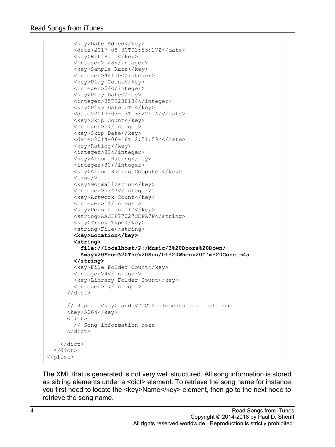<key>Date Added</key> <date>2017-08-30T01:53:27Z</date> <key>Bit Rate</key> <integer>128</integer> <key>Sample Rate</key> <integer>44100</integer> <key>Play Count</key> <integer>54</integer> <key>Play Date</key> <integer>3572238134</integer> <key>Play Date UTC</key> <date>2017-03-13T13:22:14Z</date> <key>Skip Count</key> <integer>2</integer> <key>Skip Date</key> <date>2014-06-18T12:51:59Z</date> <key>Rating</key> <integer>80</integer> <key>Album Rating</key> <integer>80</integer> <key>Album Rating Computed</key>  $<$ true $/$ > <key>Normalization</key> <integer>5347</integer> <key>Artwork Count</key> <integer>1</integer> <key>Persistent ID</key> <string>AACFF77027CEFA7F</string> <key>Track Type</key> <string>File</string> **<key>Location</key> <string> file://localhost/P:/Music/3%20Doors%20Down/ Away%20From%20The%20Sun/01%20When%20I'm%20Gone.m4a </string>** <key>File Folder Count</key> <integer>4</integer> <key>Library Folder Count</key> <integer>1</integer> </dict> // Repeat <key> and <DICT> elements for each song  $<$ key>3064 $<$ /key> <dict> // Song information here </dict> </dict> </dict> </plist>

The XML that is generated is not very well structured. All song information is stored as sibling elements under a <dict> element. To retrieve the song name for instance, you first need to locate the <key>Name</key> element, then go to the next node to retrieve the song name.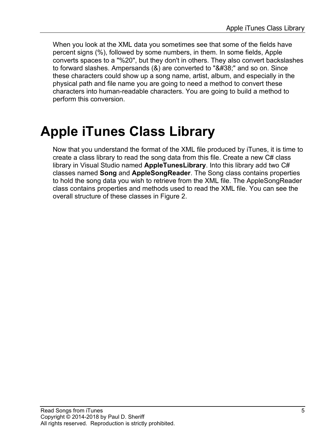When you look at the XML data you sometimes see that some of the fields have percent signs (%), followed by some numbers, in them. In some fields, Apple converts spaces to a "%20", but they don't in others. They also convert backslashes to forward slashes. Ampersands  $(8)$  are converted to " $8#38$ ;" and so on. Since these characters could show up a song name, artist, album, and especially in the physical path and file name you are going to need a method to convert these characters into human-readable characters. You are going to build a method to perform this conversion.

### **Apple iTunes Class Library**

Now that you understand the format of the XML file produced by iTunes, it is time to create a class library to read the song data from this file. Create a new C# class library in Visual Studio named **AppleTunesLibrary**. Into this library add two C# classes named **Song** and **AppleSongReader**. The Song class contains properties to hold the song data you wish to retrieve from the XML file. The AppleSongReader class contains properties and methods used to read the XML file. You can see the overall structure of these classes in [Figure 2.](#page-5-0)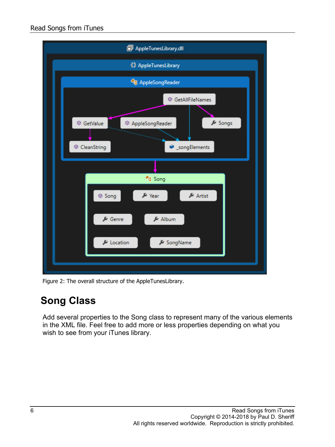

Figure 2: The overall structure of the AppleTunesLibrary.

#### <span id="page-5-0"></span>**Song Class**

Add several properties to the Song class to represent many of the various elements in the XML file. Feel free to add more or less properties depending on what you wish to see from your iTunes library.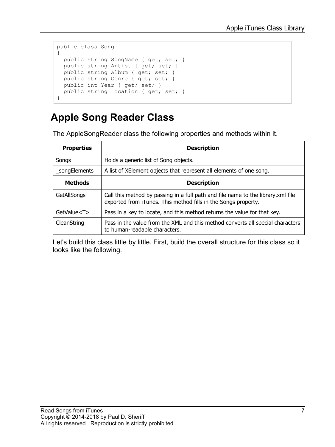```
public class Song
{
 public string SongName { get; set; }
  public string Artist { get; set; }
  public string Album { get; set; }
  public string Genre { get; set; }
 public int Year { get; set; }
 public string Location { get; set; }
}
```
#### **Apple Song Reader Class**

The AppleSongReader class the following properties and methods within it.

| <b>Properties</b> | <b>Description</b>                                                                                                                                 |
|-------------------|----------------------------------------------------------------------------------------------------------------------------------------------------|
| Songs             | Holds a generic list of Song objects.                                                                                                              |
| _songElements     | A list of XElement objects that represent all elements of one song.                                                                                |
| <b>Methods</b>    | <b>Description</b>                                                                                                                                 |
| GetAllSongs       | Call this method by passing in a full path and file name to the library.xml file<br>exported from iTunes. This method fills in the Songs property. |
| GetValue <t></t>  | Pass in a key to locate, and this method returns the value for that key.                                                                           |
| CleanString       | Pass in the value from the XML and this method converts all special characters<br>to human-readable characters.                                    |

Let's build this class little by little. First, build the overall structure for this class so it looks like the following.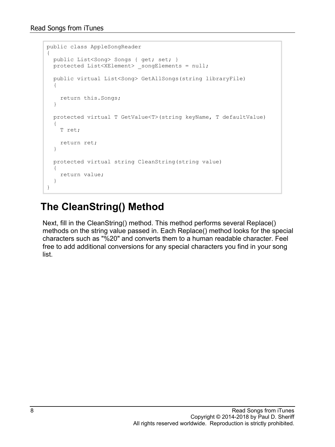```
public class AppleSongReader
{
   public List<Song> Songs { get; set; }
  protected List<XElement> songElements = null;
   public virtual List<Song> GetAllSongs(string libraryFile)
   {
     return this.Songs;
   }
   protected virtual T GetValue<T>(string keyName, T defaultValue)
   {
     T ret;
     return ret;
   }
   protected virtual string CleanString(string value)
   {
     return value;
   }
}
```
#### **The CleanString() Method**

Next, fill in the CleanString() method. This method performs several Replace() methods on the string value passed in. Each Replace() method looks for the special characters such as "%20" and converts them to a human readable character. Feel free to add additional conversions for any special characters you find in your song list.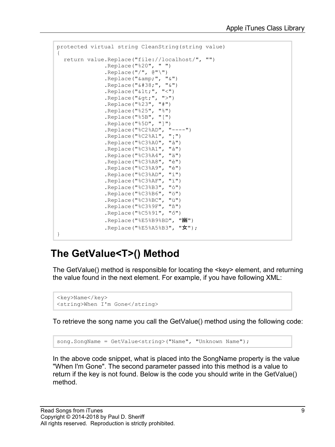```
protected virtual string CleanString(string value)
{
   return value.Replace("file://localhost/", "")
               .Replace("%20", " ")
               .Replace("/", @"\")
              .Replace("\text{amp}; ", "\text{w}")
              .Replace("&", "&")
               .Replace("<", "<")
               .Replace(">", ">")
                .Replace("%23", "#")
                .Replace("%25", "%")
                .Replace("%5B", "[")
               .Replace("%5D", "]")
                .Replace("%C2%AD", "----")
                .Replace("%C2%A1", "¡")
                .Replace("%C3%A0", "à")
                .Replace("%C3%A1", "á")
                .Replace("%C3%A4", "ä")
                .Replace("%C3%A8", "è")
               .Replace("%C3%A9", "é")
               .Replace("%C3%AD", "í")
                .Replace("%C3%AF", "ï")
                .Replace("%C3%B3", "ó")
                .Replace("%C3%B6", "ö")
                .Replace("%C3%BC", "ü")
                .Replace("%C3%9F", "ß")
                .Replace("%C5%91", "ő")
                .Replace("%E5%B9%BD", "幽")
               .Replace("%E5%A5%B3", "女");
}
```
#### **The GetValue<T>() Method**

The GetValue() method is responsible for locating the <key> element, and returning the value found in the next element. For example, if you have following XML:

```
<key>Name</key>
<string>When I'm Gone</string>
```
To retrieve the song name you call the GetValue() method using the following code:

song.SongName = GetValue<string>("Name", "Unknown Name");

In the above code snippet, what is placed into the SongName property is the value "When I'm Gone". The second parameter passed into this method is a value to return if the key is not found. Below is the code you should write in the GetValue() method.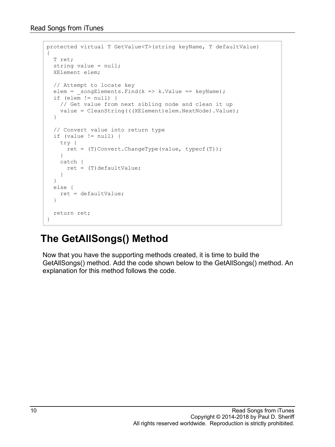```
protected virtual T GetValue<T>(string keyName, T defaultValue)
{
   T ret;
   string value = null;
   XElement elem;
   // Attempt to locate key
  elem = \text{songElements.Find}(k \implies k.Value == keyName);if (elem != null) {
     // Get value from next sibling node and clean it up
    value = CleanString(((XElement)elem.NextNode).Value);
   }
   // Convert value into return type
   if (value != null) {
     try {
     ret = (T)Convert. ChangeType(value, typeof(T));
     }
     catch {
     ret = (T) defaultValue; }
   }
   else {
    ret = defaultValue;
   }
   return ret;
}
```
#### **The GetAllSongs() Method**

Now that you have the supporting methods created, it is time to build the GetAllSongs() method. Add the code shown below to the GetAllSongs() method. An explanation for this method follows the code.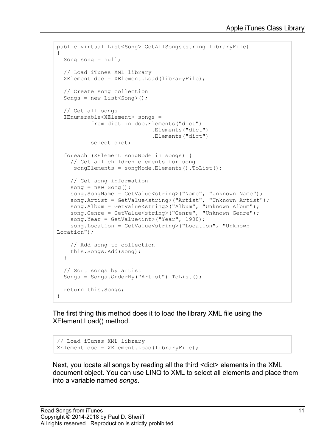```
public virtual List<Song> GetAllSongs(string libraryFile)
{
 Song song = null;
  // Load iTunes XML library
  XElement doc = XElement.Load(libraryFile);
   // Create song collection
  Songs = new List<Song>();
   // Get all songs
   IEnumerable<XElement> songs =
           from dict in doc.Elements("dict")
                             .Elements("dict")
                            .Elements("dict")
           select dict;
   foreach (XElement songNode in songs) {
     // Get all children elements for song
   songElements = songNode.Elements().ToList();
     // Get song information
    song = new Song();
 song.SongName = GetValue<string>("Name", "Unknown Name");
 song.Artist = GetValue<string>("Artist", "Unknown Artist");
 song.Album = GetValue<string>("Album", "Unknown Album");
 song.Genre = GetValue<string>("Genre", "Unknown Genre");
    song.Year = GetValue<int>("Year", 1900);
     song.Location = GetValue<string>("Location", "Unknown 
Location");
     // Add song to collection
     this.Songs.Add(song);
   }
  // Sort songs by artist
   Songs = Songs.OrderBy("Artist").ToList();
  return this.Songs;
```
The first thing this method does it to load the library XML file using the XElement.Load() method.

```
// Load iTunes XML library
XElement doc = XElement.Load(libraryFile);
```
Next, you locate all songs by reading all the third <dict> elements in the XML document object. You can use LINQ to XML to select all elements and place them into a variable named *songs*.

}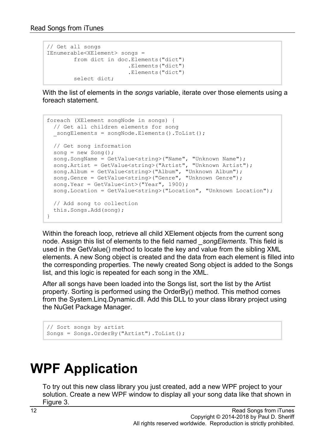```
// Get all songs
IEnumerable<XElement> songs =
        from dict in doc.Elements("dict")
                       .Elements("dict")
                         .Elements("dict")
         select dict;
```
With the list of elements in the *songs* variable, iterate over those elements using a foreach statement.

```
foreach (XElement songNode in songs) {
  // Get all children elements for song
 songElements = songNode.Elements().ToList();
  // Get song information
 song = new Song();
 song.SongName = GetValue<string>("Name", "Unknown Name");
 song.Artist = GetValue<string>("Artist", "Unknown Artist");
 song.Album = GetValue<string>("Album", "Unknown Album");
 song.Genre = GetValue<string>("Genre", "Unknown Genre");
 song.Year = GetValue<int>("Year", 1900);song.Location = GetValue<string>("Location", "Unknown Location");
  // Add song to collection
  this.Songs.Add(song);
}
```
Within the foreach loop, retrieve all child XElement objects from the current song node. Assign this list of elements to the field named *\_songElements*. This field is used in the GetValue() method to locate the key and value from the sibling XML elements. A new Song object is created and the data from each element is filled into the corresponding properties. The newly created Song object is added to the Songs list, and this logic is repeated for each song in the XML.

After all songs have been loaded into the Songs list, sort the list by the Artist property. Sorting is performed using the OrderBy() method. This method comes from the System.Linq.Dynamic.dll. Add this DLL to your class library project using the NuGet Package Manager.

```
// Sort songs by artist
Songs = Songs.OrderBy("Artist").ToList();
```
## **WPF Application**

To try out this new class library you just created, add a new WPF project to your solution. Create a new WPF window to display all your song data like that shown in [Figure 3.](#page-12-0)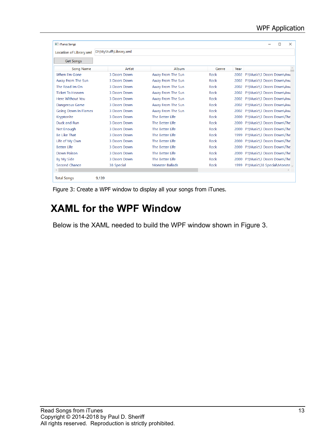| <b>Tunes Songs</b>          |                        |                        |       |      | $\times$<br>$\Box$             |
|-----------------------------|------------------------|------------------------|-------|------|--------------------------------|
| Location of Library.xml     | D:\MyStuff\Library.xml |                        |       |      |                                |
| <b>Get Songs</b>            |                        |                        |       |      |                                |
| Song Name                   | Artist                 | Album                  | Genre | Year |                                |
| When I'm Gone               | 3 Doors Down           | Away From The Sun      | Rock  |      | 2002 P:\Music\3 Doors Down\Awa |
| Away From The Sun           | 3 Doors Down           | Away From The Sun      | Rock  | 2002 | P:\Music\3 Doors Down\Awa      |
| The Road Im On              | 3 Doors Down           | Away From The Sun      | Rock  | 2002 | P:\Music\3 Doors Down\Awa      |
| <b>Ticket To Heaven</b>     | 3 Doors Down           | Away From The Sun      | Rock  | 2002 | P:\Music\3 Doors Down\Awa      |
| Here Without You            | 3 Doors Down           | Away From The Sun      | Rock  | 2002 | P:\Music\3 Doors Down\Awa      |
| <b>Dangerous Game</b>       | 3 Doors Down           | Away From The Sun      | Rock  | 2002 | P:\Music\3 Doors Down\Awa      |
| <b>Going Down In Flames</b> | 3 Doors Down           | Away From The Sun      | Rock  | 2002 | P:\Music\3 Doors Down\Awa      |
| Kryptonite                  | 3 Doors Down           | The Better Life        | Rock  | 2000 | P:\Music\3 Doors Down\The      |
| Duck and Run                | 3 Doors Down           | The Better Life        | Rock  | 2000 | P:\Music\3 Doors Down\The      |
| Not Enough                  | 3 Doors Down           | The Better Life        | Rock  | 2000 | P:\Music\3 Doors Down\The      |
| <b>Be Like That</b>         | 3 Doors Down           | The Better Life        | Rock  | 1999 | P:\Music\3 Doors Down\The      |
| Life of My Own              | 3 Doors Down           | The Better Life        | Rock  | 2000 | P:\Music\3 Doors Down\The      |
| <b>Better Life</b>          | 3 Doors Down           | The Better Life        | Rock  | 2000 | P:\Music\3 Doors Down\The      |
| Down Poison                 | 3 Doors Down           | The Better Life        | Rock  | 2000 | P:\Music\3 Doors Down\The      |
| By My Side                  | 3 Doors Down           | The Better Life        | Rock  | 2000 | P:\Music\3 Doors Down\The      |
| Second Chance               | 38 Special             | <b>Monster Ballads</b> | Rock  | 1999 | P:\Music\38 Special\Monste v   |
|                             |                        |                        |       |      |                                |
| <b>Total Songs</b>          | 9.139                  |                        |       |      |                                |

<span id="page-12-0"></span>Figure 3: Create a WPF window to display all your songs from iTunes.

#### **XAML for the WPF Window**

Below is the XAML needed to build the WPF window shown in [Figure 3.](#page-12-0)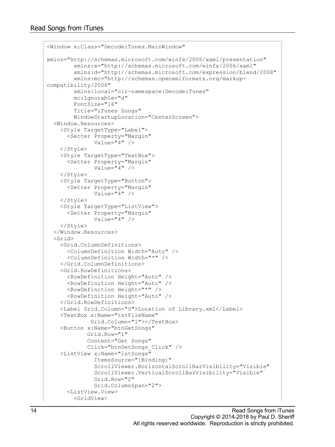```
<Window x:Class="DecodeiTunes.MainWindow"
xmlns="http://schemas.microsoft.com/winfx/2006/xaml/presentation"
         xmlns:x="http://schemas.microsoft.com/winfx/2006/xaml"
         xmlns:d="http://schemas.microsoft.com/expression/blend/2008"
         xmlns:mc="http://schemas.openxmlformats.org/markup-
compatibility/2006"
         xmlns:local="clr-namespace:DecodeiTunes"
         mc:Ignorable="d"
         FontSize="16"
         Title="iTunes Songs"
         WindowStartupLocation="CenterScreen">
  <Window.Resources>
     <Style TargetType="Label">
       <Setter Property="Margin"
               Value="4" />
     </Style>
     <Style TargetType="TextBox">
       <Setter Property="Margin"
              Value="4" />
     </Style>
     <Style TargetType="Button">
       <Setter Property="Margin"
               Value="4" />
     </Style>
     <Style TargetType="ListView">
       <Setter Property="Margin"
              Value="4" />
     </Style>
   </Window.Resources>
   <Grid>
     <Grid.ColumnDefinitions>
       <ColumnDefinition Width="Auto" />
       <ColumnDefinition Width="*" />
     </Grid.ColumnDefinitions>
     <Grid.RowDefinitions>
       <RowDefinition Height="Auto" />
       <RowDefinition Height="Auto" />
       <RowDefinition Height="*" />
       <RowDefinition Height="Auto" />
     </Grid.RowDefinitions>
     <Label Grid.Column="0">Location of Library.xml</Label>
     <TextBox x:Name="txtFileName"
              Grid.Column="1"></TextBox>
     <Button x:Name="btnGetSongs"
             Grid.Row="1"
             Content="Get Songs"
             Click="btnGetSongs_Click" />
     <ListView x:Name="lstSongs"
               ItemsSource="{Binding}"
               ScrollViewer.HorizontalScrollBarVisibility="Visible"
               ScrollViewer.VerticalScrollBarVisibility="Visible"
               Grid.Row="2"
               Grid.ColumnSpan="2">
       <ListView.View>
         <GridView>
```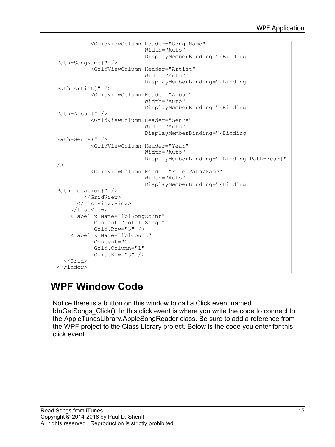```
 <GridViewColumn Header="Song Name"
                            Width="Auto"
                           DisplayMemberBinding="{Binding 
Path=SongName}" />
           <GridViewColumn Header="Artist"
                           Width="Auto"
                          DisplayMemberBinding="{Binding 
Path=Artist}" />
           <GridViewColumn Header="Album"
                            Width="Auto"
                           DisplayMemberBinding="{Binding 
Path=Album}" />
           <GridViewColumn Header="Genre"
                           Width="Auto"
                           DisplayMemberBinding="{Binding 
Path=Genre}" />
           <GridViewColumn Header="Year"
                            Width="Auto"
                           DisplayMemberBinding="{Binding Path=Year}" 
/ <GridViewColumn Header="File Path/Name"
                           Width="Auto"
                           DisplayMemberBinding="{Binding 
Path=Location}" />
         </GridView>
      </ListView.View>
     </ListView>
     <Label x:Name="lblSongCount"
            Content="Total Songs"
           Grid.Row="3" />
     <Label x:Name="lblCount"
            Content="0"
            Grid.Column="1"
            Grid.Row="3" />
   </Grid>
</Window>
```
#### **WPF Window Code**

Notice there is a button on this window to call a Click event named btnGetSongs\_Click(). In this click event is where you write the code to connect to the AppleTunesLibrary.AppleSongReader class. Be sure to add a reference from the WPF project to the Class Library project. Below is the code you enter for this click event.